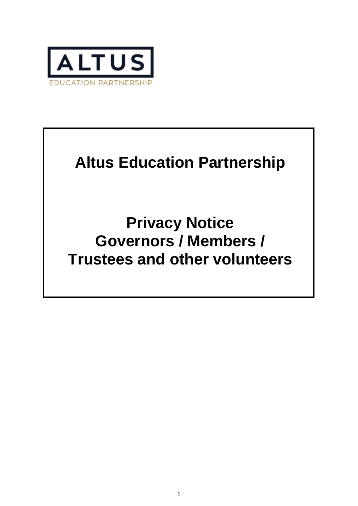

# **Altus Education Partnership**

**Privacy Notice Governors / Members / Trustees and other volunteers**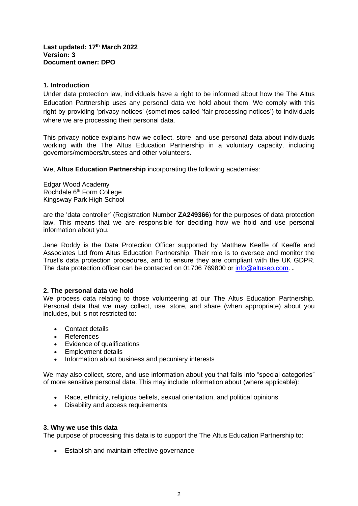**Last updated: 17th March 2022 Version: 3 Document owner: DPO**

## **1. Introduction**

Under data protection law, individuals have a right to be informed about how the The Altus Education Partnership uses any personal data we hold about them. We comply with this right by providing 'privacy notices' (sometimes called 'fair processing notices') to individuals where we are processing their personal data.

This privacy notice explains how we collect, store, and use personal data about individuals working with the The Altus Education Partnership in a voluntary capacity, including governors/members/trustees and other volunteers.

We, **Altus Education Partnership** incorporating the following academies:

Edgar Wood Academy Rochdale 6th Form College Kingsway Park High School

are the 'data controller' (Registration Number **ZA249366**) for the purposes of data protection law. This means that we are responsible for deciding how we hold and use personal information about you.

Jane Roddy is the Data Protection Officer supported by Matthew Keeffe of Keeffe and Associates Ltd from Altus Education Partnership. Their role is to oversee and monitor the Trust's data protection procedures, and to ensure they are compliant with the UK GDPR. The data protection officer can be contacted on 01706 769800 or [info@altusep.com.](mailto:info@altusep.com) **.** 

### **2. The personal data we hold**

We process data relating to those volunteering at our The Altus Education Partnership. Personal data that we may collect, use, store, and share (when appropriate) about you includes, but is not restricted to:

- Contact details
- References
- Evidence of qualifications
- Employment details
- Information about business and pecuniary interests

We may also collect, store, and use information about you that falls into "special categories" of more sensitive personal data. This may include information about (where applicable):

- Race, ethnicity, religious beliefs, sexual orientation, and political opinions
- Disability and access requirements

### **3. Why we use this data**

The purpose of processing this data is to support the The Altus Education Partnership to:

• Establish and maintain effective governance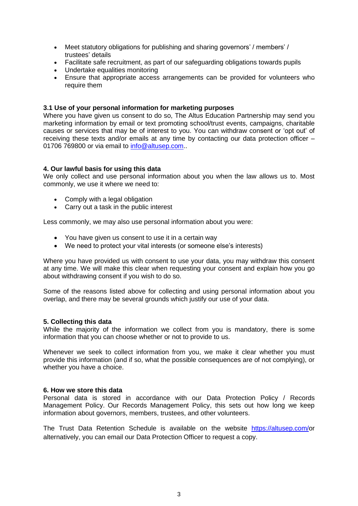- Meet statutory obligations for publishing and sharing governors' / members' / trustees' details
- Facilitate safe recruitment, as part of our safeguarding obligations towards pupils
- Undertake equalities monitoring<br>• Ensure that appropriate access
- Ensure that appropriate access arrangements can be provided for volunteers who require them

## **3.1 Use of your personal information for marketing purposes**

Where you have given us consent to do so, The Altus Education Partnership may send you marketing information by email or text promoting school/trust events, campaigns, charitable causes or services that may be of interest to you. You can withdraw consent or 'opt out' of receiving these texts and/or emails at any time by contacting our data protection officer – 01706 769800 or via email to [info@altusep.com.](mailto:info@altusep.com).

## **4. Our lawful basis for using this data**

We only collect and use personal information about you when the law allows us to. Most commonly, we use it where we need to:

- Comply with a legal obligation
- Carry out a task in the public interest

Less commonly, we may also use personal information about you were:

- You have given us consent to use it in a certain way
- We need to protect your vital interests (or someone else's interests)

Where you have provided us with consent to use your data, you may withdraw this consent at any time. We will make this clear when requesting your consent and explain how you go about withdrawing consent if you wish to do so.

Some of the reasons listed above for collecting and using personal information about you overlap, and there may be several grounds which justify our use of your data.

### **5. Collecting this data**

While the majority of the information we collect from you is mandatory, there is some information that you can choose whether or not to provide to us.

Whenever we seek to collect information from you, we make it clear whether you must provide this information (and if so, what the possible consequences are of not complying), or whether you have a choice.

### **6. How we store this data**

Personal data is stored in accordance with our Data Protection Policy / Records Management Policy. Our Records Management Policy, this sets out how long we keep information about governors, members, trustees, and other volunteers.

The Trust Data Retention Schedule is available on the website [https://altusep.com/o](https://altusep.com/)r alternatively, you can email our Data Protection Officer to request a copy.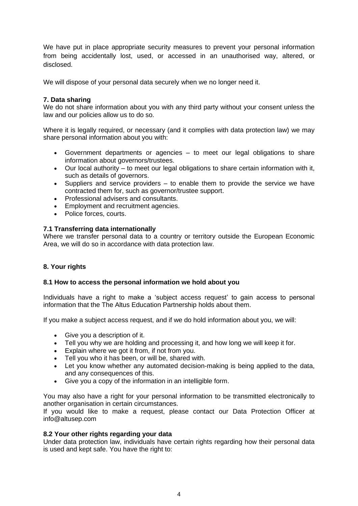We have put in place appropriate security measures to prevent your personal information from being accidentally lost, used, or accessed in an unauthorised way, altered, or disclosed.

We will dispose of your personal data securely when we no longer need it.

# **7. Data sharing**

We do not share information about you with any third party without your consent unless the law and our policies allow us to do so.

Where it is legally required, or necessary (and it complies with data protection law) we may share personal information about you with:

- Government departments or agencies to meet our legal obligations to share information about governors/trustees.
- Our local authority to meet our legal obligations to share certain information with it, such as details of governors.
- Suppliers and service providers to enable them to provide the service we have contracted them for, such as governor/trustee support.
- Professional advisers and consultants.
- Employment and recruitment agencies.
- Police forces, courts.

# **7.1 Transferring data internationally**

Where we transfer personal data to a country or territory outside the European Economic Area, we will do so in accordance with data protection law.

# **8. Your rights**

# **8.1 How to access the personal information we hold about you**

Individuals have a right to make a 'subject access request' to gain access to personal information that the The Altus Education Partnership holds about them.

If you make a subject access request, and if we do hold information about you, we will:

- Give you a description of it.
- Tell you why we are holding and processing it, and how long we will keep it for.
- Explain where we got it from, if not from you.
- Tell you who it has been, or will be, shared with.
- Let you know whether any automated decision-making is being applied to the data, and any consequences of this.
- Give you a copy of the information in an intelligible form.

You may also have a right for your personal information to be transmitted electronically to another organisation in certain circumstances.

If you would like to make a request, please contact our Data Protection Officer at info@altusep.com

# **8.2 Your other rights regarding your data**

Under data protection law, individuals have certain rights regarding how their personal data is used and kept safe. You have the right to: